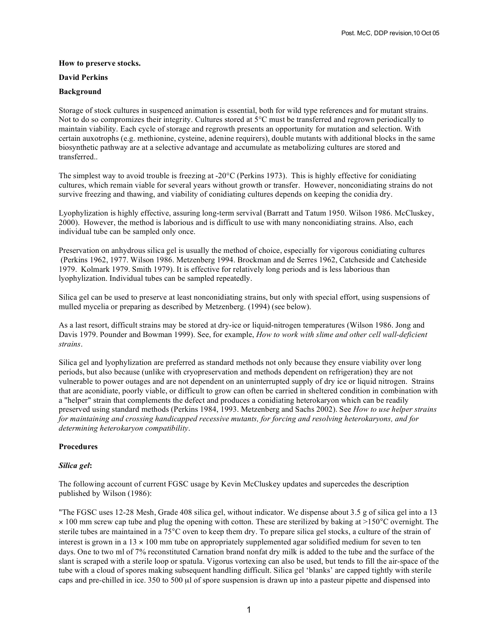### **How to preserve stocks.**

### **David Perkins**

### **Background**

Storage of stock cultures in suspenced animation is essential, both for wild type references and for mutant strains. Not to do so compromizes their integrity. Cultures stored at 5°C must be transferred and regrown periodically to maintain viability. Each cycle of storage and regrowth presents an opportunity for mutation and selection. With certain auxotrophs (e.g. methionine, cysteine, adenine requirers), double mutants with additional blocks in the same biosynthetic pathway are at a selective advantage and accumulate as metabolizing cultures are stored and transferred..

The simplest way to avoid trouble is freezing at  $-20^{\circ}$ C (Perkins 1973). This is highly effective for conidiating cultures, which remain viable for several years without growth or transfer. However, nonconidiating strains do not survive freezing and thawing, and viability of conidiating cultures depends on keeping the conidia dry.

Lyophylization is highly effective, assuring long-term servival (Barratt and Tatum 1950. Wilson 1986. McCluskey, 2000). However, the method is laborious and is difficult to use with many nonconidiating strains. Also, each individual tube can be sampled only once.

Preservation on anhydrous silica gel is usually the method of choice, especially for vigorous conidiating cultures (Perkins 1962, 1977. Wilson 1986. Metzenberg 1994. Brockman and de Serres 1962, Catcheside and Catcheside 1979. Kolmark 1979. Smith 1979). It is effective for relatively long periods and is less laborious than lyophylization. Individual tubes can be sampled repeatedly.

Silica gel can be used to preserve at least nonconidiating strains, but only with special effort, using suspensions of mulled mycelia or preparing as described by Metzenberg. (1994) (see below).

As a last resort, difficult strains may be stored at dry-ice or liquid-nitrogen temperatures (Wilson 1986. Jong and Davis 1979. Pounder and Bowman 1999). See, for example, *How to work with slime and other cell wall-deficient strains*.

Silica gel and lyophylization are preferred as standard methods not only because they ensure viability over long periods, but also because (unlike with cryopreservation and methods dependent on refrigeration) they are not vulnerable to power outages and are not dependent on an uninterrupted supply of dry ice or liquid nitrogen. Strains that are aconidiate, poorly viable, or difficult to grow can often be carried in sheltered condition in combination with a "helper" strain that complements the defect and produces a conidiating heterokaryon which can be readily preserved using standard methods (Perkins 1984, 1993. Metzenberg and Sachs 2002). See *How to use helper strains for maintaining and crossing handicapped recessive mutants, for forcing and resolving heterokaryons, and for determining heterokaryon compatibility*.

### **Procedures**

### *Silica gel***:**

The following account of current FGSC usage by Kevin McCluskey updates and supercedes the description published by Wilson (1986):

"The FGSC uses 12-28 Mesh, Grade 408 silica gel, without indicator. We dispense about 3.5 g of silica gel into a 13  $\times$  100 mm screw cap tube and plug the opening with cotton. These are sterilized by baking at >150 $^{\circ}$ C overnight. The sterile tubes are maintained in a 75°C oven to keep them dry. To prepare silica gel stocks, a culture of the strain of interest is grown in a  $13 \times 100$  mm tube on appropriately supplemented agar solidified medium for seven to ten days. One to two ml of 7% reconstituted Carnation brand nonfat dry milk is added to the tube and the surface of the slant is scraped with a sterile loop or spatula. Vigorus vortexing can also be used, but tends to fill the air-space of the tube with a cloud of spores making subsequent handling difficult. Silica gel 'blanks' are capped tightly with sterile caps and pre-chilled in ice. 350 to 500 µ of spore suspension is drawn up into a pasteur pipette and dispensed into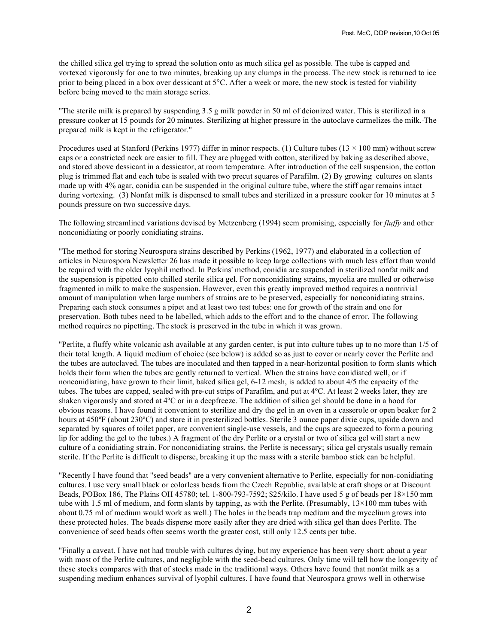the chilled silica gel trying to spread the solution onto as much silica gel as possible. The tube is capped and vortexed vigorously for one to two minutes, breaking up any clumps in the process. The new stock is returned to ice prior to being placed in a box over dessicant at 5°C. After a week or more, the new stock is tested for viability before being moved to the main storage series.

"The sterile milk is prepared by suspending 3.5 g milk powder in 50 ml of deionized water. This is sterilized in a pressure cooker at 15 pounds for 20 minutes. Sterilizing at higher pressure in the autoclave carmelizes the milk. The prepared milk is kept in the refrigerator."

Procedures used at Stanford (Perkins 1977) differ in minor respects. (1) Culture tubes ( $13 \times 100$  mm) without screw caps or a constricted neck are easier to fill. They are plugged with cotton, sterilized by baking as described above, and stored above dessicant in a dessicator, at room temperature. After introduction of the cell suspension, the cotton plug is trimmed flat and each tube is sealed with two precut squares of Parafilm. (2) By growing cultures on slants made up with 4% agar, conidia can be suspended in the original culture tube, where the stiff agar remains intact during vortexing. (3) Nonfat milk is dispensed to small tubes and sterilized in a pressure cooker for 10 minutes at 5 pounds pressure on two successive days.

The following streamlined variations devised by Metzenberg (1994) seem promising, especially for *fluffy* and other nonconidiating or poorly conidiating strains.

"The method for storing Neurospora strains described by Perkins (1962, 1977) and elaborated in a collection of articles in Neurospora Newsletter 26 has made it possible to keep large collections with much less effort than would be required with the older lyophil method. In Perkins' method, conidia are suspended in sterilized nonfat milk and the suspension is pipetted onto chilled sterile silica gel. For nonconidiating strains, mycelia are mulled or otherwise fragmented in milk to make the suspension. However, even this greatly improved method requires a nontrivial amount of manipulation when large numbers of strains are to be preserved, especially for nonconidiating strains. Preparing each stock consumes a pipet and at least two test tubes: one for growth of the strain and one for preservation. Both tubes need to be labelled, which adds to the effort and to the chance of error. The following method requires no pipetting. The stock is preserved in the tube in which it was grown.

"Perlite, a fluffy white volcanic ash available at any garden center, is put into culture tubes up to no more than 1/5 of their total length. A liquid medium of choice (see below) is added so as just to cover or nearly cover the Perlite and the tubes are autoclaved. The tubes are inoculated and then tapped in a near-horizontal position to form slants which holds their form when the tubes are gently returned to vertical. When the strains have conidiated well, or if nonconidiating, have grown to their limit, baked silica gel, 6-12 mesh, is added to about 4/5 the capacity of the tubes. The tubes are capped, sealed with pre-cut strips of Parafilm, and put at 4ºC. At least 2 weeks later, they are shaken vigorously and stored at 4ºC or in a deepfreeze. The addition of silica gel should be done in a hood for obvious reasons. I have found it convenient to sterilize and dry the gel in an oven in a casserole or open beaker for 2 hours at 450°F (about 230°C) and store it in presterilized bottles. Sterile 3 ounce paper dixie cups, upside down and separated by squares of toilet paper, are convenient single-use vessels, and the cups are squeezed to form a pouring lip for adding the gel to the tubes.) A fragment of the dry Perlite or a crystal or two of silica gel will start a new culture of a conidiating strain. For nonconidiating strains, the Perlite is necessary; silica gel crystals usually remain sterile. If the Perlite is difficult to disperse, breaking it up the mass with a sterile bamboo stick can be helpful.

"Recently I have found that "seed beads" are a very convenient alternative to Perlite, especially for non-conidiating cultures. I use very small black or colorless beads from the Czech Republic, available at craft shops or at Discount Beads, POBox 186, The Plains OH 45780; tel. 1-800-793-7592; \$25/kilo. I have used 5 g of beads per 18×150 mm tube with 1.5 ml of medium, and form slants by tapping, as with the Perlite. (Presumably, 13×100 mm tubes with about 0.75 ml of medium would work as well.) The holes in the beads trap medium and the mycelium grows into these protected holes. The beads disperse more easily after they are dried with silica gel than does Perlite. The convenience of seed beads often seems worth the greater cost, still only 12.5 cents per tube.

"Finally a caveat. I have not had trouble with cultures dying, but my experience has been very short: about a year with most of the Perlite cultures, and negligible with the seed-bead cultures. Only time will tell how the longevity of these stocks compares with that of stocks made in the traditional ways. Others have found that nonfat milk as a suspending medium enhances survival of lyophil cultures. I have found that Neurospora grows well in otherwise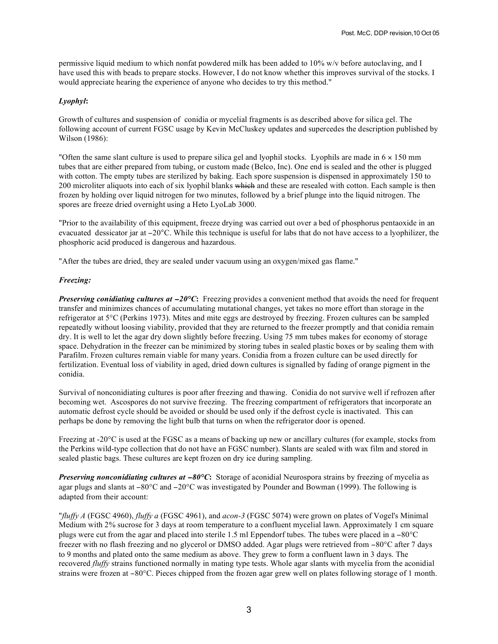permissive liquid medium to which nonfat powdered milk has been added to 10% w/v before autoclaving, and I have used this with beads to prepare stocks. However, I do not know whether this improves survival of the stocks. I would appreciate hearing the experience of anyone who decides to try this method."

# *Lyophyl***:**

Growth of cultures and suspension of conidia or mycelial fragments is as described above for silica gel. The following account of current FGSC usage by Kevin McCluskey updates and supercedes the description published by Wilson (1986):

"Often the same slant culture is used to prepare silica gel and lyophil stocks. Lyophils are made in  $6 \times 150$  mm tubes that are either prepared from tubing, or custom made (Belco, Inc). One end is sealed and the other is plugged with cotton. The empty tubes are sterilized by baking. Each spore suspension is dispensed in approximately 150 to 200 microliter aliquots into each of six lyophil blanks which and these are resealed with cotton. Each sample is then frozen by holding over liquid nitrogen for two minutes, followed by a brief plunge into the liquid nitrogen. The spores are freeze dried overnight using a Heto LyoLab 3000.

"Prior to the availability of this equipment, freeze drying was carried out over a bed of phosphorus pentaoxide in an evacuated dessicator jar at −20°C. While this technique is useful for labs that do not have access to a lyophilizer, the phosphoric acid produced is dangerous and hazardous.

"After the tubes are dried, they are sealed under vacuum using an oxygen/mixed gas flame."

# *Freezing:*

*Preserving conidiating cultures at* −20°C: Freezing provides a convenient method that avoids the need for frequent transfer and minimizes chances of accumulating mutational changes, yet takes no more effort than storage in the refrigerator at 5°C (Perkins 1973). Mites and mite eggs are destroyed by freezing. Frozen cultures can be sampled repeatedly without loosing viability, provided that they are returned to the freezer promptly and that conidia remain dry. It is well to let the agar dry down slightly before freezing. Using 75 mm tubes makes for economy of storage space. Dehydration in the freezer can be minimized by storing tubes in sealed plastic boxes or by sealing them with Parafilm. Frozen cultures remain viable for many years. Conidia from a frozen culture can be used directly for fertilization. Eventual loss of viability in aged, dried down cultures is signalled by fading of orange pigment in the conidia.

Survival of nonconidiating cultures is poor after freezing and thawing. Conidia do not survive well if refrozen after becoming wet. Ascospores do not survive freezing. The freezing compartment of refrigerators that incorporate an automatic defrost cycle should be avoided or should be used only if the defrost cycle is inactivated. This can perhaps be done by removing the light bulb that turns on when the refrigerator door is opened.

Freezing at -20°C is used at the FGSC as a means of backing up new or ancillary cultures (for example, stocks from the Perkins wild-type collection that do not have an FGSC number). Slants are sealed with wax film and stored in sealed plastic bags. These cultures are kept frozen on dry ice during sampling.

*Preserving nonconidiating cultures at* <sup>−</sup>*80°C***:** Storage of aconidial Neurospora strains by freezing of mycelia as agar plugs and slants at −80°C and −20°C was investigated by Pounder and Bowman (1999). The following is adapted from their account:

"*fluffy A* (FGSC 4960), *fluffy a* (FGSC 4961), and *acon-3* (FGSC 5074) were grown on plates of Vogel's Minimal Medium with 2% sucrose for 3 days at room temperature to a confluent mycelial lawn. Approximately 1 cm square plugs were cut from the agar and placed into sterile 1.5 ml Eppendorf tubes. The tubes were placed in a −80°C freezer with no flash freezing and no glycerol or DMSO added. Agar plugs were retrieved from −80°C after 7 days to 9 months and plated onto the same medium as above. They grew to form a confluent lawn in 3 days. The recovered *fluffy* strains functioned normally in mating type tests. Whole agar slants with mycelia from the aconidial strains were frozen at −80°C. Pieces chipped from the frozen agar grew well on plates following storage of 1 month.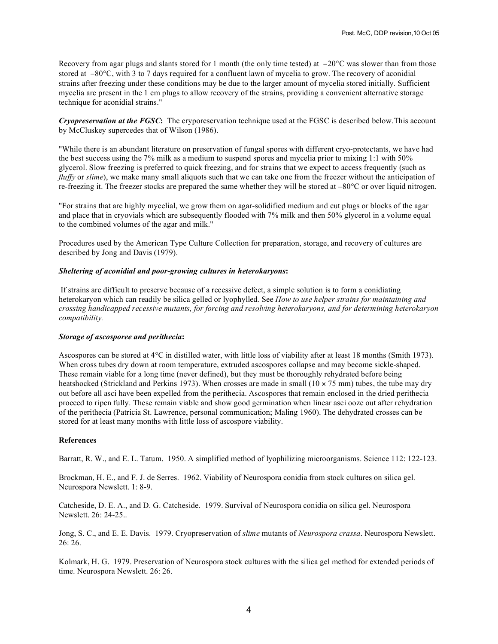Recovery from agar plugs and slants stored for 1 month (the only time tested) at −20°C was slower than from those stored at −80°C, with 3 to 7 days required for a confluent lawn of mycelia to grow. The recovery of aconidial strains after freezing under these conditions may be due to the larger amount of mycelia stored initially. Sufficient mycelia are present in the 1 cm plugs to allow recovery of the strains, providing a convenient alternative storage technique for aconidial strains."

*Cryopreservation at the FGSC***:** The cryporeservation technique used at the FGSC is described below.This account by McCluskey supercedes that of Wilson (1986).

"While there is an abundant literature on preservation of fungal spores with different cryo-protectants, we have had the best success using the 7% milk as a medium to suspend spores and mycelia prior to mixing 1:1 with 50% glycerol. Slow freezing is preferred to quick freezing, and for strains that we expect to access frequently (such as *fluffy* or *slime*), we make many small aliquots such that we can take one from the freezer without the anticipation of re-freezing it. The freezer stocks are prepared the same whether they will be stored at −80°C or over liquid nitrogen.

"For strains that are highly mycelial, we grow them on agar-solidified medium and cut plugs or blocks of the agar and place that in cryovials which are subsequently flooded with 7% milk and then 50% glycerol in a volume equal to the combined volumes of the agar and milk."

Procedures used by the American Type Culture Collection for preparation, storage, and recovery of cultures are described by Jong and Davis (1979).

# *Sheltering of aconidial and poor-growing cultures in heterokaryons***:**

If strains are difficult to preserve because of a recessive defect, a simple solution is to form a conidiating heterokaryon which can readily be silica gelled or lyophylled. See *How to use helper strains for maintaining and crossing handicapped recessive mutants, for forcing and resolving heterokaryons, and for determining heterokaryon compatibility.*

### *Storage of ascosporee and perithecia***:**

Ascospores can be stored at 4°C in distilled water, with little loss of viability after at least 18 months (Smith 1973). When cross tubes dry down at room temperature, extruded ascospores collapse and may become sickle-shaped. These remain viable for a long time (never defined), but they must be thoroughly rehydrated before being heatshocked (Strickland and Perkins 1973). When crosses are made in small  $(10 \times 75 \text{ mm})$  tubes, the tube may dry out before all asci have been expelled from the perithecia. Ascospores that remain enclosed in the dried perithecia proceed to ripen fully. These remain viable and show good germination when linear asci ooze out after rehydration of the perithecia (Patricia St. Lawrence, personal communication; Maling 1960). The dehydrated crosses can be stored for at least many months with little loss of ascospore viability.

#### **References**

Barratt, R. W., and E. L. Tatum. 1950. A simplified method of lyophilizing microorganisms. Science 112: 122-123.

Brockman, H. E., and F. J. de Serres. 1962. Viability of Neurospora conidia from stock cultures on silica gel. Neurospora Newslett. 1: 8-9.

Catcheside, D. E. A., and D. G. Catcheside. 1979. Survival of Neurospora conidia on silica gel. Neurospora Newslett. 26: 24-25..

Jong, S. C., and E. E. Davis. 1979. Cryopreservation of *slime* mutants of *Neurospora crassa*. Neurospora Newslett. 26: 26.

Kolmark, H. G. 1979. Preservation of Neurospora stock cultures with the silica gel method for extended periods of time. Neurospora Newslett. 26: 26.